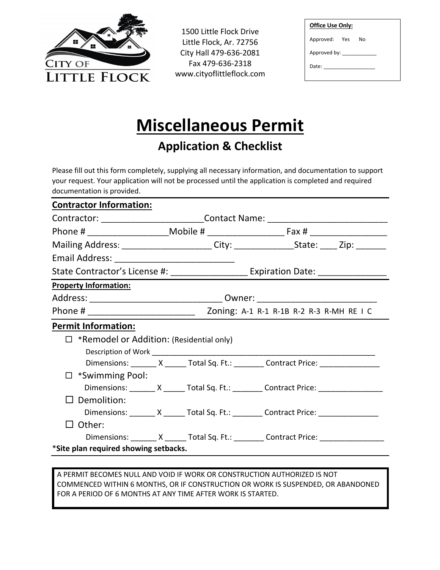

1500 Little Flock Drive Little Flock, Ar. 72756 City Hall 479-636-2081 Fax 479-636-2318 www.cityoflittleflock.com

| <b>Office Use Only:</b> |  |  |  |  |
|-------------------------|--|--|--|--|
| Approved: Yes No        |  |  |  |  |
|                         |  |  |  |  |
| Date: the controller    |  |  |  |  |
|                         |  |  |  |  |

## **Miscellaneous Permit**

**Application & Checklist**

Please fill out this form completely, supplying all necessary information, and documentation to support your request. Your application will not be processed until the application is completed and required documentation is provided.

| <b>Contractor Information:</b>                                                              |                                                                                  |                                                                                   |                                                                                                      |  |  |  |
|---------------------------------------------------------------------------------------------|----------------------------------------------------------------------------------|-----------------------------------------------------------------------------------|------------------------------------------------------------------------------------------------------|--|--|--|
|                                                                                             | Contractor: ____________________________Contact Name: __________________________ |                                                                                   |                                                                                                      |  |  |  |
|                                                                                             |                                                                                  |                                                                                   |                                                                                                      |  |  |  |
| Mailing Address: ______________________City: ____________________State: _____ Zip: ________ |                                                                                  |                                                                                   |                                                                                                      |  |  |  |
|                                                                                             |                                                                                  |                                                                                   |                                                                                                      |  |  |  |
|                                                                                             |                                                                                  | State Contractor's License #: ______________________ Expiration Date: ___________ |                                                                                                      |  |  |  |
| <b>Property Information:</b>                                                                |                                                                                  |                                                                                   |                                                                                                      |  |  |  |
|                                                                                             |                                                                                  |                                                                                   |                                                                                                      |  |  |  |
|                                                                                             |                                                                                  |                                                                                   |                                                                                                      |  |  |  |
| <b>Permit Information:</b>                                                                  |                                                                                  |                                                                                   |                                                                                                      |  |  |  |
| $\Box$ *Remodel or Addition: (Residential only)                                             |                                                                                  |                                                                                   |                                                                                                      |  |  |  |
|                                                                                             |                                                                                  |                                                                                   | Dimensions: ________ X _______ Total Sq. Ft.: _________ Contract Price: ________________             |  |  |  |
| $\Box$ *Swimming Pool:                                                                      |                                                                                  |                                                                                   |                                                                                                      |  |  |  |
|                                                                                             |                                                                                  |                                                                                   | Dimensions: ________ X _______ Total Sq. Ft.: _________ Contract Price: ____________________________ |  |  |  |
| Demolition:                                                                                 |                                                                                  |                                                                                   |                                                                                                      |  |  |  |
|                                                                                             |                                                                                  |                                                                                   | Dimensions: _______ X ______ Total Sq. Ft.: ________ Contract Price: ____________                    |  |  |  |
| Other:                                                                                      |                                                                                  |                                                                                   |                                                                                                      |  |  |  |
|                                                                                             |                                                                                  |                                                                                   | Dimensions: _______ X ______ Total Sq. Ft.: ________ Contract Price: ____________                    |  |  |  |
| *Site plan required showing setbacks.                                                       |                                                                                  |                                                                                   |                                                                                                      |  |  |  |
|                                                                                             |                                                                                  |                                                                                   |                                                                                                      |  |  |  |

A PERMIT BECOMES NULL AND VOID IF WORK OR CONSTRUCTION AUTHORIZED IS NOT COMMENCED WITHIN 6 MONTHS, OR IF CONSTRUCTION OR WORK IS SUSPENDED, OR ABANDONED FOR A PERIOD OF 6 MONTHS AT ANY TIME AFTER WORK IS STARTED.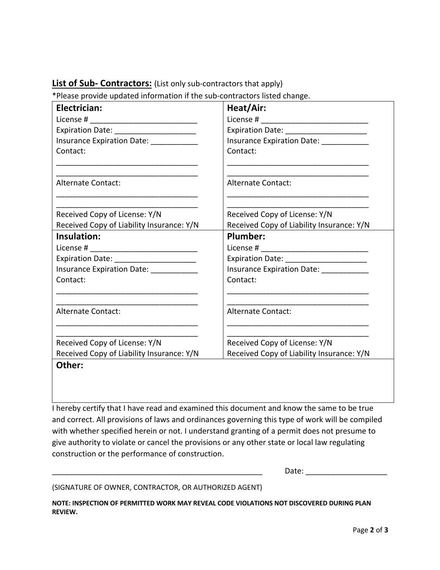## **List of Sub- Contractors:** (List only sub-contractors that apply)

\*Please provide updated information if the sub-contractors listed change.

| Electrician:                              | Heat/Air:                                 |  |  |
|-------------------------------------------|-------------------------------------------|--|--|
|                                           |                                           |  |  |
| Expiration Date: _______________________  | Expiration Date: ______________________   |  |  |
| Insurance Expiration Date: ____________   | Insurance Expiration Date: __________     |  |  |
| Contact:                                  | Contact:                                  |  |  |
|                                           |                                           |  |  |
| <b>Alternate Contact:</b>                 | <b>Alternate Contact:</b>                 |  |  |
|                                           |                                           |  |  |
| Received Copy of License: Y/N             | Received Copy of License: Y/N             |  |  |
| Received Copy of Liability Insurance: Y/N | Received Copy of Liability Insurance: Y/N |  |  |
| Insulation:                               | Plumber:                                  |  |  |
|                                           |                                           |  |  |
| Expiration Date: ________________________ | Expiration Date: _______________________  |  |  |
| Insurance Expiration Date: 1986           |                                           |  |  |
| Contact:                                  | Contact:                                  |  |  |
|                                           |                                           |  |  |
| <b>Alternate Contact:</b>                 | <b>Alternate Contact:</b>                 |  |  |
|                                           |                                           |  |  |
| Received Copy of License: Y/N             | Received Copy of License: Y/N             |  |  |
| Received Copy of Liability Insurance: Y/N | Received Copy of Liability Insurance: Y/N |  |  |
| Other:                                    |                                           |  |  |

I hereby certify that I have read and examined this document and know the same to be true and correct. All provisions of laws and ordinances governing this type of work will be compiled with whether specified herein or not. I understand granting of a permit does not presume to give authority to violate or cancel the provisions or any other state or local law regulating construction or the performance of construction.

\_\_\_\_\_\_\_\_\_\_\_\_\_\_\_\_\_\_\_\_\_\_\_\_\_\_\_\_\_\_\_\_\_\_\_\_\_\_\_\_\_\_\_\_\_\_\_\_\_ Date: \_\_\_\_\_\_\_\_\_\_\_\_\_\_\_\_\_\_\_

(SIGNATURE OF OWNER, CONTRACTOR, OR AUTHORIZED AGENT)

**NOTE: INSPECTION OF PERMITTED WORK MAY REVEAL CODE VIOLATIONS NOT DISCOVERED DURING PLAN REVIEW.**